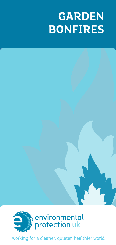# **GARDEN BONFIRES**



working for a cleaner, quieter, healthier world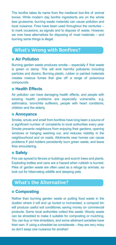The bonfire takes its name from the medieval bon-fire of animal bones. While modern day bonfire ingredients are on the whole less gruesome, burning waste materials can cause pollution and local nuisance. Fires have been used throughout the centuries – to mark occasions, as signals and to dispose of waste. However, we now have alternatives for disposing of most materials – and burning some things is illegal.

## **What's Wrong with Bonfires?**

#### ● **Air Pollution**

Burning garden waste produces smoke – especially if that waste is green or damp. This will emit harmful pollutants including particles and dioxins. Burning plastic, rubber or painted materials creates noxious fumes that give off a range of poisonous compounds.

#### ● **Health Effects**

Air pollution can have damaging health effects, and people with existing health problems are especially vulnerable, e.g. asthmatics, bronchitis sufferers, people with heart conditions, children and the elderly.

#### ● **Annoyance**

Smoke, smuts and smell from bonfires have long been a source of a significant number of complaints to local authorities every year. Smoke prevents neighbours from enjoying their gardens, opening windows or hanging washing out, and reduces visibility in the neighbourhood and on roads. Allotments near homes can cause problems if plot holders persistently burn green waste, and leave fires smouldering.

#### ● **Safety**

Fire can spread to fences or buildings and scorch trees and plants. Exploding bottles and cans are a hazard when rubbish is burned. Piles of garden waste are often used as a refuge by animals, so look out for hibernating wildlife and sleeping pets.

## **What's the Alternative?**

#### ● **Composting**

Rather than burning garden waste or putting food waste in the dustbin where it will end up buried or incinerated, a compost bin will produce useful soil conditioner, saving money on commercial products. Some local authorities collect this waste. Woody waste can be shredded to make it suitable for composting or mulching. You can buy or hire shredders, and some allotment societies have their own. If using a shredder be considerate – they are very noisy so don't swap one nuisance for another!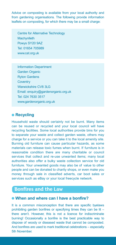Advice on composting is available from your local authority and from gardening organisations. The following provide information leaflets on composting, for which there may be a small charge:

Centre for Alternative Technology **Machynlleth** Powys SY20 9AZ Tel: 01654 705989 www.cat.org.uk

Information Department Garden Organic Ryton Gardens **Coventry** Warwickshire CV8 3LG Email: enquiry@gardenorganic.org.uk Tel: 024 7630 3517 www.gardenorganic.org.uk

#### ● **Recycling**

Household waste should certainly not be burnt. Many items can be reused or recycled and your local council will have recycling facilities. Some local authorities provide bins for you to separate your waste and collect garden waste, others may charge for a service or you can take it to the local amenity site. Burning old furniture can cause particular hazards, as some materials can release toxic fumes when burnt. If furniture is in reasonable condition there are many charitable or council services that collect and re-use unwanted items; many local authorities also offer a bulky waste collection service for old furniture. Your unwanted goods may also be of value to other people and can be donated to charity shops, or even make you money through sale in classified adverts, car boot sales or services such as eBay or your local freecycle network.

## **Bonfires and the Law**

#### ● **When and where can I have a bonfire?**

It is a common misconception that there are specific byelaws prohibiting garden bonfires or specifying times they can be lit – there aren't. However, this is not a licence for indiscriminate burning! Occasionally a bonfire is the best practicable way to dispose of woody or diseased waste that cannot be composted. And bonfires are used to mark traditional celebrations – especially 5th November.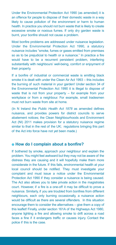Under the Environmental Protection Act 1990 (as amended) it is an offence for people to dispose of their domestic waste in a way likely to cause pollution of the environment or harm to human health. In practice you should not burn waste that is likely to create excessive smoke or noxious fumes. If only dry garden waste is burnt, your bonfire should not cause a problem.

Most bonfire problems are addressed under nuisance legislation. Under the Environmental Protection Act 1990, a statutory nuisance includes "smoke, fumes or gases emitted from premises so as to be prejudicial to health or a nuisance." In practice a fire would have to be a recurrent persistent problem, interfering substantially with neighbours' well-being, comfort or enjoyment of their property.

If a bonfire of industrial or commercial waste is emitting black smoke it is dealt with under the Clean Air Act 1993 – this includes the burning of such material in your garden! Under section 34 of the Environmental Protection Act 1990 it is illegal to dispose of waste that is not from your property – for example from your workplace or from a neighbour. For example, small tradesmen must not burn waste from site at home.

(In N Ireland the *Public Health Act 1878* as amended defines nuisance, and provides powers for district councils to serve abatement notices; the Clean Neighbourhoods and Environment Act (NI) 2011 makes provision for a statutory nuisance regime similar to that in the rest of the UK; regulations bringing this part of the Act into force have not yet been made.)

#### ● **How do I complain about a bonfire?**

If bothered by smoke, approach your neighbour and explain the problem. You might feel awkward but they may not be aware of the distress they are causing and it will hopefully make them more considerate in the future. If this fails, environmental health at your local council should be notified. They must investigate your complaint and must issue a notice under the Environmental Protection Act 1990 if they consider a nuisance is being caused. The Act also allows you to take private action in the magistrates court. However, if a fire is a one-off it may be difficult to prove a nuisance. Similarly, if you are troubled from bonfires from different neighbours, each only burning occasionally, a nuisance action would be difficult as there are several offenders. In this situation encourage them to consider the alternatives – give them a copy of this leaflet! Finally, under section 161A of the Highways Act 1980, anyone lighting a fire and allowing smoke to drift across a road faces a fine if it endangers traffic or causes injury. Contact the police if this is the case.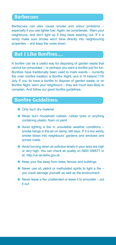### **Barbecues**

Barbecues can also cause smoke and odour problems – especially if you use lighter fuel. Again, be considerate. Warn your neighbours, and don't light up if they have washing out. If it is windy make sure smoke won't blow directly into neighbouring properties – and keep the noise down.

## **But I Like Bonfires…..**

A bonfire can be a useful way for disposing of garden waste that cannot be composted – or perhaps you want a bonfire just for fun. Bonfires have traditionally been used to mark events – currently the main bonfire tradition is Bonfire Night, and in N Ireland 11th July. If you do have a bonfire to dispose of garden waste, or on Bonfire Night, warn your neighbours – they are much less likely to complain. And follow our good bonfire guidelines.

## **Bonfire Guidelines:**

- Only burn dry material
- Never burn household rubbish, rubber tyres or anything containing plastic, foam or paint
- Avoid lighting a fire in unsuitable weather conditions smoke hangs in the air on damp, still days. If it is too windy, smoke blows into neighbours' gardens and windows and across roads
- Avoid burning when air pollution levels in your area are high or very high. You can check air quality on 0800 556677 or at http://uk-air.defra.gov.uk.
- Keep your fire away from trees, fences and buildings
- $\bullet$  Never use oil, petrol or methylated spirits to light a fire  $$ you could damage yourself as well as the environment
- $\bullet$  Never leave a fire unattended or leave it to smoulder  $-$  put it out